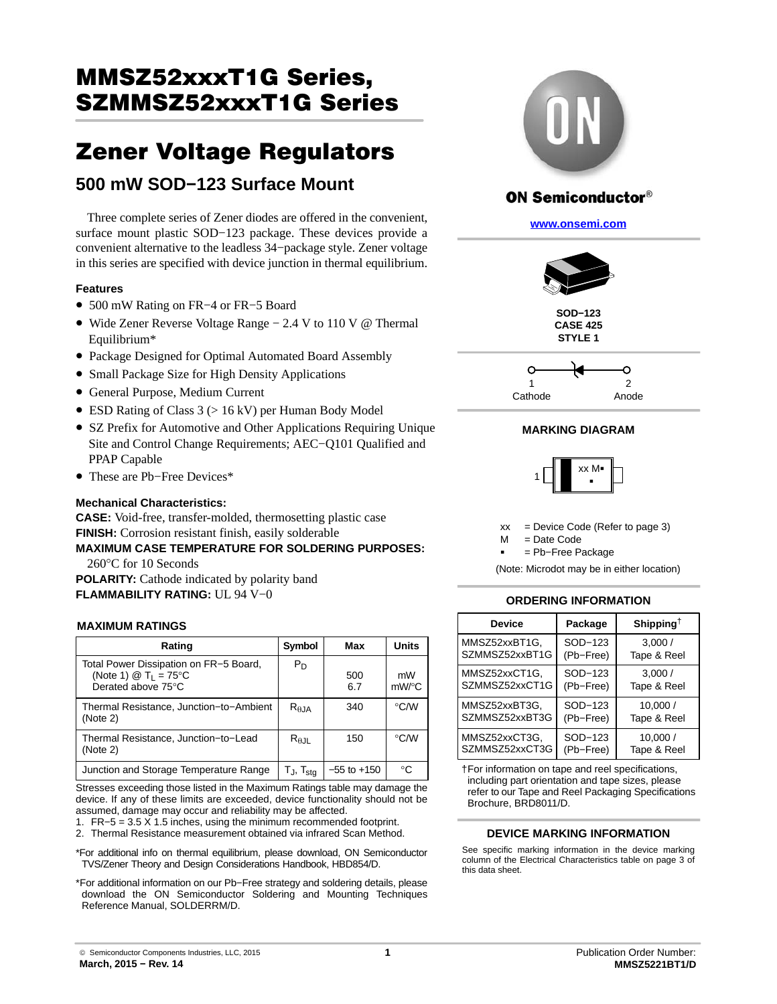# MMSZ52xxxT1G Series, <u>SZMMSZSSZSZSZS SZ SZSZSZ</u>

## EOO mill SOD 422 Surface Mount **500 mW SOD−123 Surface Mount**

Three complete series of Zener diodes are offered in the convenient, surface mount plastic SOD−123 package. These devices provide a convenient alternative to the leadless 34−package style. Zener voltage in this series are specified with device junction in thermal equilibrium.

### **Features**

- 500 mW Rating on FR−4 or FR−5 Board
- Wide Zener Reverse Voltage Range − 2.4 V to 110 V @ Thermal Equilibrium\*
- Package Designed for Optimal Automated Board Assembly
- Small Package Size for High Density Applications
- General Purpose, Medium Current
- ESD Rating of Class 3 (> 16 kV) per Human Body Model
- SZ Prefix for Automotive and Other Applications Requiring Unique Site and Control Change Requirements; AEC−Q101 Qualified and PPAP Capable
- These are Pb−Free Devices\*

### **Mechanical Characteristics:**

**CASE:** Void-free, transfer-molded, thermosetting plastic case **FINISH:** Corrosion resistant finish, easily solderable **MAXIMUM CASE TEMPERATURE FOR SOLDERING PURPOSES:** 260°C for 10 Seconds

**POLARITY:** Cathode indicated by polarity band **FLAMMABILITY RATING:** UL 94 V−0

### **MAXIMUM RATINGS**

| Rating                                                                                                           | Symbol                   | Max             | Units       |
|------------------------------------------------------------------------------------------------------------------|--------------------------|-----------------|-------------|
| Total Power Dissipation on FR–5 Board,<br>(Note 1) $\textcircled{2}$ T <sub>L</sub> = 75°C<br>Derated above 75°C | P <sub>D</sub>           | 500<br>6.7      | mW<br>mW/°C |
| Thermal Resistance, Junction-to-Ambient<br>(Note 2)                                                              | $R_{\theta,JA}$          | 340             | °C/W        |
| Thermal Resistance, Junction-to-Lead<br>(Note 2)                                                                 | $R_{\theta, JL}$         | 150             | °C/W        |
| Junction and Storage Temperature Range                                                                           | $T_J$ , $T_{\text{stg}}$ | $-55$ to $+150$ | $^{\circ}C$ |

Stresses exceeding those listed in the Maximum Ratings table may damage the device. If any of these limits are exceeded, device functionality should not be assumed, damage may occur and reliability may be affected.

- 1. FR−5 = 3.5 X 1.5 inches, using the minimum recommended footprint.
- 2. Thermal Resistance measurement obtained via infrared Scan Method.
- \*For additional info on thermal equilibrium, please download, ON Semiconductor TVS/Zener Theory and Design Considerations Handbook, HBD854/D.
- \*For additional information on our Pb−Free strategy and soldering details, please download the ON Semiconductor Soldering and Mounting Techniques Reference Manual, SOLDERRM/D.



### **ON Semiconductor®**

**[www.onsemi.com]( http://www.onsemi.com/)**



**SOD−123 CASE 425 STYLE 1**



### **MARKING DIAGRAM**



 $xx =$  Device Code (Refer to page [3\)](#page-2-0)

 $=$  Date Code  $M$ 

= Pb−Free Package

(Note: Microdot may be in either location)

### **ORDERING INFORMATION**

| <b>Device</b>  | Package   | Shipping <sup>†</sup> |
|----------------|-----------|-----------------------|
| MMSZ52xxBT1G,  | SOD-123   | 3,000/                |
| SZMMSZ52xxBT1G | (Pb-Free) | Tape & Reel           |
| MMSZ52xxCT1G,  | SOD-123   | 3.000/                |
| SZMMSZ52xxCT1G | (Pb-Free) | Tape & Reel           |
| MMSZ52xxBT3G,  | SOD-123   | 10,000/               |
| SZMMSZ52xxBT3G | (Pb-Free) | Tape & Reel           |
| MMSZ52xxCT3G,  | SOD-123   | 10,000/               |
| SZMMSZ52xxCT3G | (Pb-Free) | Tape & Reel           |

†For information on tape and reel specifications, including part orientation and tape sizes, please refer to our Tape and Reel Packaging Specifications Brochure, BRD8011/D.

### **DEVICE MARKING INFORMATION**

See specific marking information in the device marking column of the Electrical Characteristics table on page [3](#page-2-0) of this data sheet.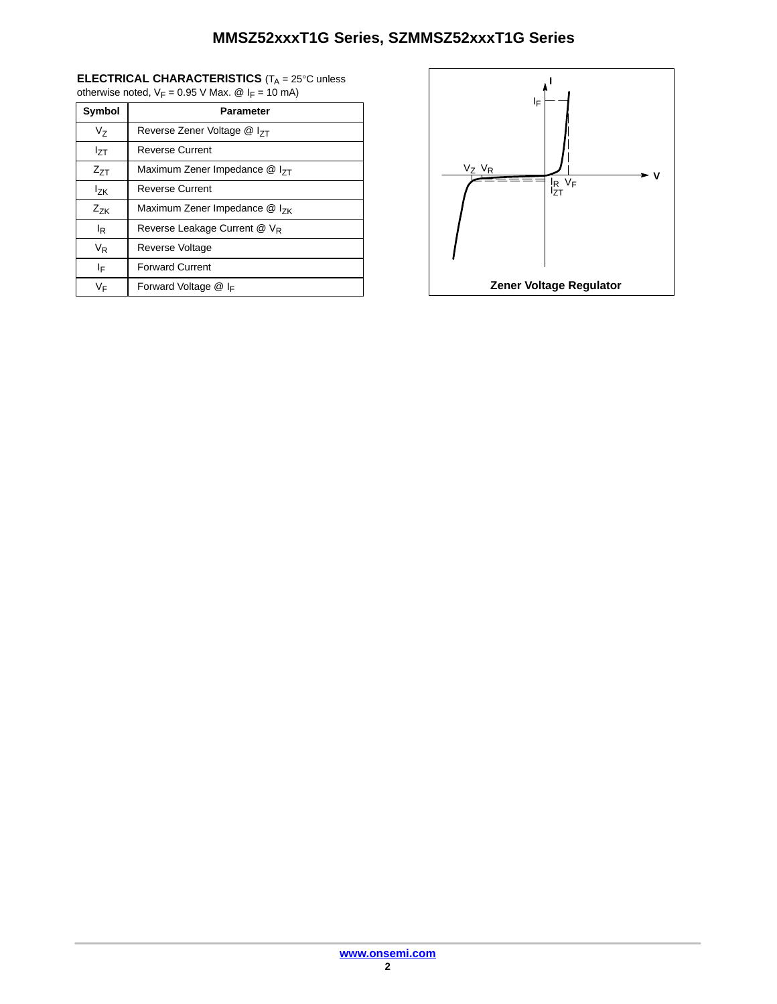### **ELECTRICAL CHARACTERISTICS** (T<sub>A</sub> = 25°C unless otherwise noted,  $V_F = 0.95$  V Max.  $\textcircled{e}$  I<sub>F</sub> = 10 mA)

| Symbol           | Parameter                               |  |  |
|------------------|-----------------------------------------|--|--|
| Vz               | Reverse Zener Voltage @ I <sub>7T</sub> |  |  |
| I <sub>7T</sub>  | <b>Reverse Current</b>                  |  |  |
| $Z_{7T}$         | Maximum Zener Impedance $@$ $ _{7T}$    |  |  |
| $I_{ZK}$         | <b>Reverse Current</b>                  |  |  |
| $Z_{ZK}$         | Maximum Zener Impedance $@$ $ _{7k}$    |  |  |
| l <sub>R</sub>   | Reverse Leakage Current @ VR            |  |  |
| $V_{\mathsf{R}}$ | Reverse Voltage                         |  |  |
| ΙF               | <b>Forward Current</b>                  |  |  |
| VF               | Forward Voltage @ IF                    |  |  |

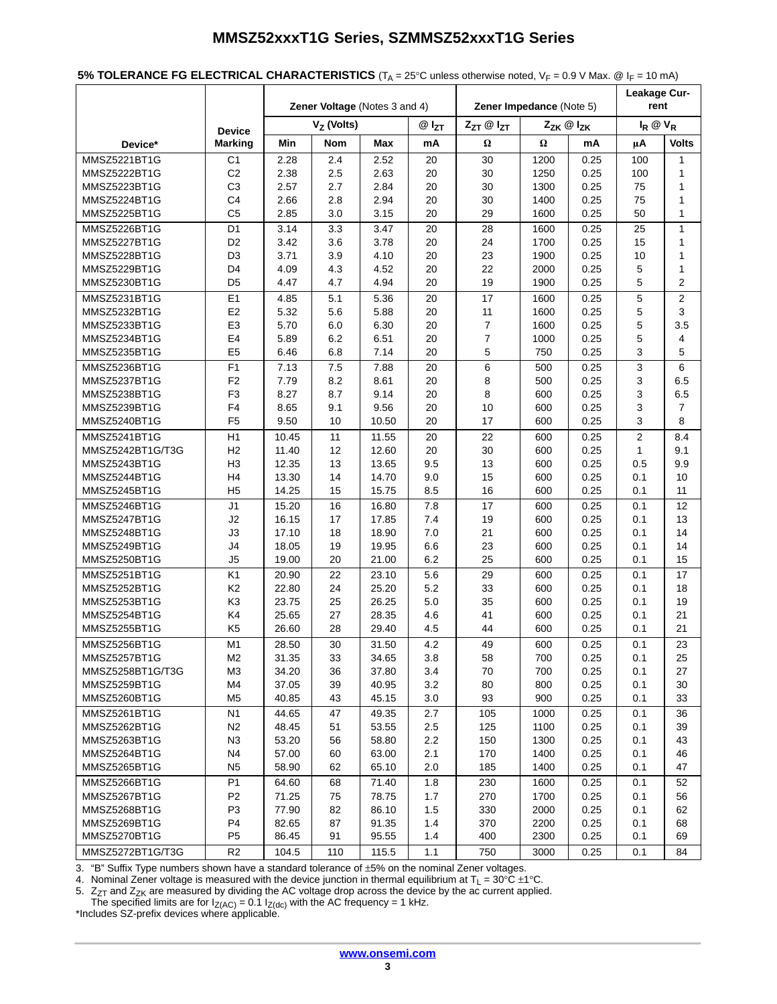<span id="page-2-0"></span>

| 5% TOLERANCE FG ELECTRICAL CHARACTERISTICS ( $T_A$ = 25°C unless otherwise noted, $V_F$ = 0.9 V Max. @ I <sub>F</sub> = 10 mA) |  |
|--------------------------------------------------------------------------------------------------------------------------------|--|
|--------------------------------------------------------------------------------------------------------------------------------|--|

| Zener Voltage (Notes 3 and 4)<br>Zener Impedance (Note 5)                                                                                                                            |                           |  |
|--------------------------------------------------------------------------------------------------------------------------------------------------------------------------------------|---------------------------|--|
| $VZ$ (Volts)<br>$Z_{ZT}$ @ $I_{ZT}$<br>$Z_{ZK}$ @ $I_{ZK}$                                                                                                                           | rent<br>$I_R \otimes V_R$ |  |
| $@I_{ZT}$<br><b>Device</b><br>$\Omega$<br><b>Marking</b><br>Min<br>Nom<br>Max<br>mA<br>Ω<br>mA<br>μA<br>Device*                                                                      | <b>Volts</b>              |  |
|                                                                                                                                                                                      |                           |  |
| C <sub>1</sub><br>MMSZ5221BT1G<br>2.28<br>2.4<br>2.52<br>20<br>30<br>1200<br>0.25<br>100<br>MMSZ5222BT1G<br>C <sub>2</sub><br>2.38<br>2.5<br>20<br>30<br>1250<br>0.25<br>2.63<br>100 | 1<br>1                    |  |
| C <sub>3</sub><br>2.7<br>20<br>30<br>1300<br>0.25<br>MMSZ5223BT1G<br>2.57<br>2.84<br>75                                                                                              | 1                         |  |
|                                                                                                                                                                                      |                           |  |
| C <sub>4</sub><br>2.66<br>2.8<br>2.94<br>20<br>30<br>1400<br>0.25<br>75<br>MMSZ5224BT1G<br>C <sub>5</sub><br>1600                                                                    | 1                         |  |
| MMSZ5225BT1G<br>2.85<br>3.0<br>20<br>29<br>0.25<br>50<br>3.15                                                                                                                        | 1                         |  |
| D <sub>1</sub><br>MMSZ5226BT1G<br>3.14<br>3.3<br>3.47<br>20<br>28<br>1600<br>0.25<br>25                                                                                              | 1                         |  |
| MMSZ5227BT1G<br>D <sub>2</sub><br>3.6<br>3.78<br>24<br>1700<br>0.25<br>15<br>3.42<br>20                                                                                              | 1                         |  |
| 23<br>10<br>MMSZ5228BT1G<br>D3<br>3.71<br>3.9<br>4.10<br>20<br>1900<br>0.25                                                                                                          | 1                         |  |
| 22<br>0.25<br>5<br>MMSZ5229BT1G<br>D4<br>4.09<br>4.3<br>4.52<br>20<br>2000                                                                                                           | 1                         |  |
| 5<br>MMSZ5230BT1G<br>D <sub>5</sub><br>4.47<br>4.7<br>4.94<br>20<br>19<br>1900<br>0.25                                                                                               | 2                         |  |
| E <sub>1</sub><br>17<br>5<br>MMSZ5231BT1G<br>4.85<br>5.1<br>5.36<br>20<br>1600<br>0.25                                                                                               | $\overline{2}$            |  |
| E2<br>MMSZ5232BT1G<br>5.32<br>5.6<br>5.88<br>20<br>11<br>1600<br>0.25<br>5                                                                                                           | 3                         |  |
| E <sub>3</sub><br>6.0<br>20<br>7<br>0.25<br>5<br>MMSZ5233BT1G<br>5.70<br>6.30<br>1600                                                                                                | 3.5                       |  |
| $\overline{7}$<br>E <sub>4</sub><br>5.89<br>6.2<br>20<br>1000<br>0.25<br>5<br>MMSZ5234BT1G<br>6.51                                                                                   | 4                         |  |
| 5<br>0.25<br>3<br>MMSZ5235BT1G<br>E <sub>5</sub><br>6.46<br>6.8<br>7.14<br>20<br>750                                                                                                 | 5                         |  |
| 6<br>3<br>F <sub>1</sub><br>7.5<br>0.25<br>MMSZ5236BT1G<br>7.13<br>7.88<br>20<br>500                                                                                                 | 6                         |  |
| F <sub>2</sub><br>8.2<br>8<br>0.25<br>3<br>MMSZ5237BT1G<br>7.79<br>8.61<br>20<br>500                                                                                                 | 6.5                       |  |
| 8<br>3<br>F <sub>3</sub><br>8.27<br>8.7<br>20<br>0.25<br>MMSZ5238BT1G<br>9.14<br>600                                                                                                 | 6.5                       |  |
| F <sub>4</sub><br>10<br>0.25<br>3<br>MMSZ5239BT1G<br>8.65<br>9.1<br>9.56<br>20<br>600                                                                                                | $\overline{7}$            |  |
| 3<br>20<br>0.25<br>MMSZ5240BT1G<br>F5<br>9.50<br>10<br>10.50<br>17<br>600                                                                                                            | 8                         |  |
| $\overline{2}$<br>11<br>MMSZ5241BT1G<br>H1<br>10.45<br>11.55<br>20<br>22<br>600<br>0.25                                                                                              | 8.4                       |  |
| H <sub>2</sub><br>20<br>30<br>0.25<br>$\mathbf{1}$<br>MMSZ5242BT1G/T3G<br>11.40<br>12<br>12.60<br>600                                                                                | 9.1                       |  |
| H3<br>13<br>13<br>MMSZ5243BT1G<br>12.35<br>13.65<br>9.5<br>600<br>0.25<br>0.5                                                                                                        | 9.9                       |  |
| H4<br>14<br>15<br>0.1<br>MMSZ5244BT1G<br>13.30<br>14.70<br>9.0<br>600<br>0.25                                                                                                        | 10                        |  |
| MMSZ5245BT1G<br>H <sub>5</sub><br>14.25<br>15<br>15.75<br>8.5<br>16<br>600<br>0.25<br>0.1                                                                                            | 11                        |  |
| J1<br>15.20<br>16<br>16.80<br>7.8<br>17<br>0.25<br>0.1<br>MMSZ5246BT1G<br>600                                                                                                        | 12                        |  |
| 19<br>0.25<br>0.1<br>MMSZ5247BT1G<br>J2<br>16.15<br>17<br>17.85<br>7.4<br>600                                                                                                        | 13                        |  |
| J3<br>18.90<br>21<br>600<br>0.25<br>0.1<br>MMSZ5248BT1G<br>17.10<br>18<br>7.0                                                                                                        | 14                        |  |
| J <sub>4</sub><br>19<br>23<br>0.25<br>0.1<br>MMSZ5249BT1G<br>18.05<br>19.95<br>6.6<br>600                                                                                            | 14                        |  |
| J <sub>5</sub><br>25<br>MMSZ5250BT1G<br>19.00<br>20<br>21.00<br>6.2<br>600<br>0.25<br>0.1                                                                                            | 15                        |  |
| K <sub>1</sub><br>MMSZ5251BT1G<br>5.6<br>29<br>0.1<br>20.90<br>22<br>23.10<br>600<br>0.25                                                                                            | 17                        |  |
| K <sub>2</sub><br>5.2<br>33<br>0.25<br>0.1<br>MMSZ5252BT1G<br>22.80<br>24<br>25.20<br>600                                                                                            | 18                        |  |
| 0.1<br>MMSZ5253BT1G<br>K3<br>23.75<br>25<br>26.25<br>5.0<br>35<br>600<br>0.25                                                                                                        | 19                        |  |
| K4<br>0.1<br>MMSZ5254BT1G<br>25.65<br>27<br>28.35<br>41<br>600<br>0.25<br>4.6                                                                                                        | 21                        |  |
| 0.1<br>MMSZ5255BT1G<br>K5<br>26.60<br>28<br>29.40<br>4.5<br>44<br>600<br>0.25                                                                                                        | 21                        |  |
| M1<br>30<br>4.2<br>0.1<br>MMSZ5256BT1G<br>28.50<br>31.50<br>49<br>600<br>0.25                                                                                                        | 23                        |  |
| MMSZ5257BT1G<br>M <sub>2</sub><br>700<br>0.1<br>31.35<br>33<br>34.65<br>3.8<br>58<br>0.25                                                                                            | 25                        |  |
| M <sub>3</sub><br>0.1<br>MMSZ5258BT1G/T3G<br>34.20<br>36<br>37.80<br>3.4<br>70<br>700<br>0.25                                                                                        | 27                        |  |
| M4<br>39<br>0.1<br>MMSZ5259BT1G<br>37.05<br>40.95<br>3.2<br>80<br>800<br>0.25                                                                                                        | 30                        |  |
| 93<br>0.1<br>MMSZ5260BT1G<br>M <sub>5</sub><br>40.85<br>43<br>45.15<br>3.0<br>900<br>0.25                                                                                            | 33                        |  |
| N1<br>47<br>105<br>0.1<br>MMSZ5261BT1G<br>44.65<br>49.35<br>2.7<br>1000<br>0.25                                                                                                      | 36                        |  |
| 125<br>0.25<br>0.1<br>MMSZ5262BT1G<br>N <sub>2</sub><br>48.45<br>51<br>53.55<br>2.5<br>1100                                                                                          | 39                        |  |
| 2.2<br>0.25<br>0.1<br>MMSZ5263BT1G<br>N <sub>3</sub><br>53.20<br>56<br>58.80<br>150<br>1300                                                                                          | 43                        |  |
| MMSZ5264BT1G<br>N <sub>4</sub><br>57.00<br>60<br>63.00<br>2.1<br>170<br>1400<br>0.25<br>0.1                                                                                          | 46                        |  |
| N <sub>5</sub><br>62<br>2.0<br>185<br>0.25<br>0.1<br>MMSZ5265BT1G<br>58.90<br>65.10<br>1400                                                                                          | 47                        |  |
| P <sub>1</sub><br>71.40<br>230<br>0.1<br>MMSZ5266BT1G<br>64.60<br>68<br>1.8<br>1600<br>0.25                                                                                          | 52                        |  |
| MMSZ5267BT1G<br>P <sub>2</sub><br>71.25<br>75<br>1.7<br>270<br>0.25<br>0.1<br>78.75<br>1700                                                                                          | 56                        |  |
| P <sub>3</sub><br>0.1<br>MMSZ5268BT1G<br>77.90<br>82<br>86.10<br>1.5<br>330<br>2000<br>0.25                                                                                          | 62                        |  |
| 0.1<br>MMSZ5269BT1G<br>P4<br>82.65<br>87<br>91.35<br>1.4<br>370<br>2200<br>0.25                                                                                                      | 68                        |  |
| 91<br>400<br>MMSZ5270BT1G<br>P <sub>5</sub><br>86.45<br>95.55<br>1.4<br>2300<br>0.25<br>0.1                                                                                          | 69                        |  |
| R <sub>2</sub><br>MMSZ5272BT1G/T3G<br>104.5<br>110<br>115.5<br>1.1<br>750<br>3000<br>0.25<br>0.1                                                                                     | 84                        |  |

3. "B" Suffix Type numbers shown have a standard tolerance of ±5% on the nominal Zener voltages.

4. Nominal Zener voltage is measured with the device junction in thermal equilibrium at T<sub>L</sub> = 30°C ±1°C.

5.  $\,$  Z $_{ZT}$  and Z $_{ZK}$  are measured by dividing the AC voltage drop across the device by the ac current applied.

The specified limits are for  $I_{Z(AC)} = 0.1 I_{Z(dc)}$  with the AC frequency = 1 kHz.<br>\*Includes SZ-prefix devices where applicable.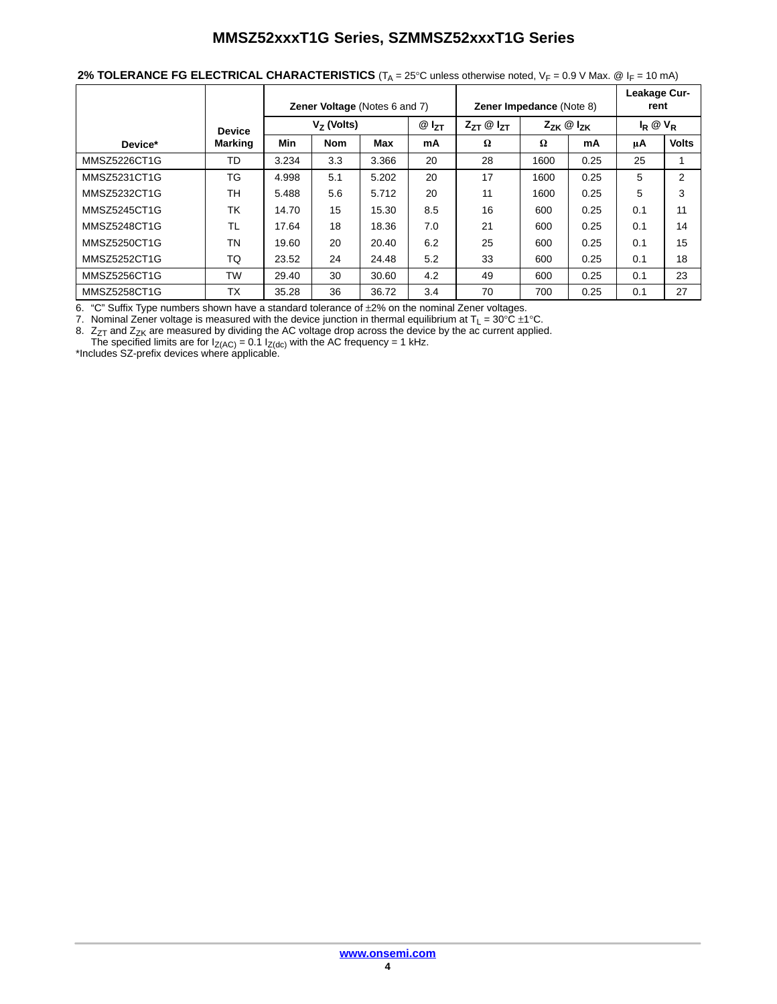| 2% TOLERANCE FG ELECTRICAL CHARACTERISTICS ( $T_A = 25^\circ$ C unless otherwise noted, $V_F = 0.9$ V Max. @ I <sub>F</sub> = 10 mA) |  |
|--------------------------------------------------------------------------------------------------------------------------------------|--|
|--------------------------------------------------------------------------------------------------------------------------------------|--|

|              |               |              | <b>Zener Voltage (Notes 6 and 7)</b> |       |           | <b>Zener Impedance (Note 8)</b> |                                  | Leakage Cur-<br>rent |                   |              |
|--------------|---------------|--------------|--------------------------------------|-------|-----------|---------------------------------|----------------------------------|----------------------|-------------------|--------------|
|              | <b>Device</b> | $V7$ (Volts) |                                      |       | $@I_{ZT}$ | $Z_{ZT} \otimes I_{ZT}$         | $Z_{ZK}$ $\circledcirc$ $I_{ZK}$ |                      | $I_R \otimes V_R$ |              |
| Device*      | Marking       | Min          | <b>Nom</b>                           | Max   | mA        | Ω                               | $\Omega$                         | mA                   | uΑ                | <b>Volts</b> |
| MMSZ5226CT1G | TD            | 3.234        | 3.3                                  | 3.366 | 20        | 28                              | 1600                             | 0.25                 | 25                |              |
| MMSZ5231CT1G | ТG            | 4.998        | 5.1                                  | 5.202 | 20        | 17                              | 1600                             | 0.25                 | 5                 | 2            |
| MMSZ5232CT1G | <b>TH</b>     | 5.488        | 5.6                                  | 5.712 | 20        | 11                              | 1600                             | 0.25                 | 5                 | 3            |
| MMSZ5245CT1G | TK            | 14.70        | 15                                   | 15.30 | 8.5       | 16                              | 600                              | 0.25                 | 0.1               | 11           |
| MMSZ5248CT1G | TL            | 17.64        | 18                                   | 18.36 | 7.0       | 21                              | 600                              | 0.25                 | 0.1               | 14           |
| MMSZ5250CT1G | <b>TN</b>     | 19.60        | 20                                   | 20.40 | 6.2       | 25                              | 600                              | 0.25                 | 0.1               | 15           |
| MMSZ5252CT1G | TQ            | 23.52        | 24                                   | 24.48 | 5.2       | 33                              | 600                              | 0.25                 | 0.1               | 18           |
| MMSZ5256CT1G | <b>TW</b>     | 29.40        | 30                                   | 30.60 | 4.2       | 49                              | 600                              | 0.25                 | 0.1               | 23           |
| MMSZ5258CT1G | <b>TX</b>     | 35.28        | 36                                   | 36.72 | 3.4       | 70                              | 700                              | 0.25                 | 0.1               | 27           |

6. "C" Suffix Type numbers shown have a standard tolerance of  $\pm 2\%$  on the nominal Zener voltages.

7. Nominal Zener voltage is measured with the device junction in thermal equilibrium at T<sub>L</sub> = 30°C ±1°C.

8.  $\rm Z_{ZT}$  and  $\rm Z_{ZK}$  are measured by dividing the AC voltage drop across the device by the ac current applied.

The specified limits are for  $I_{Z(AC)} = 0.1 I_{Z(dc)}$  with the AC frequency = 1 kHz.<br>\*Includes SZ-prefix devices where applicable.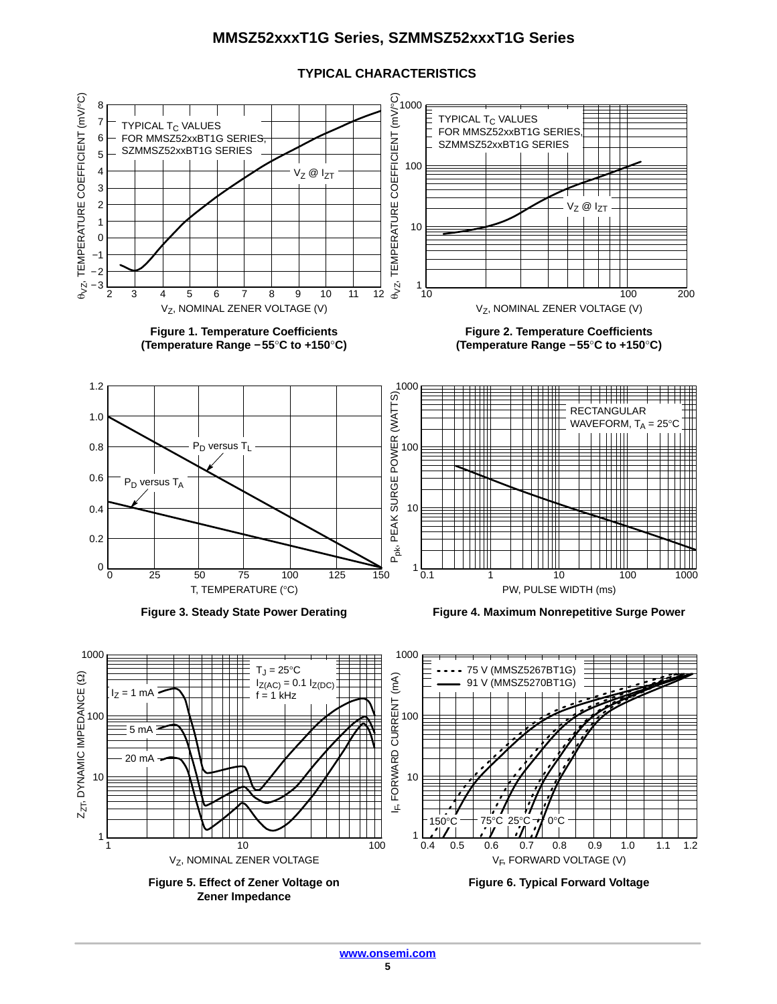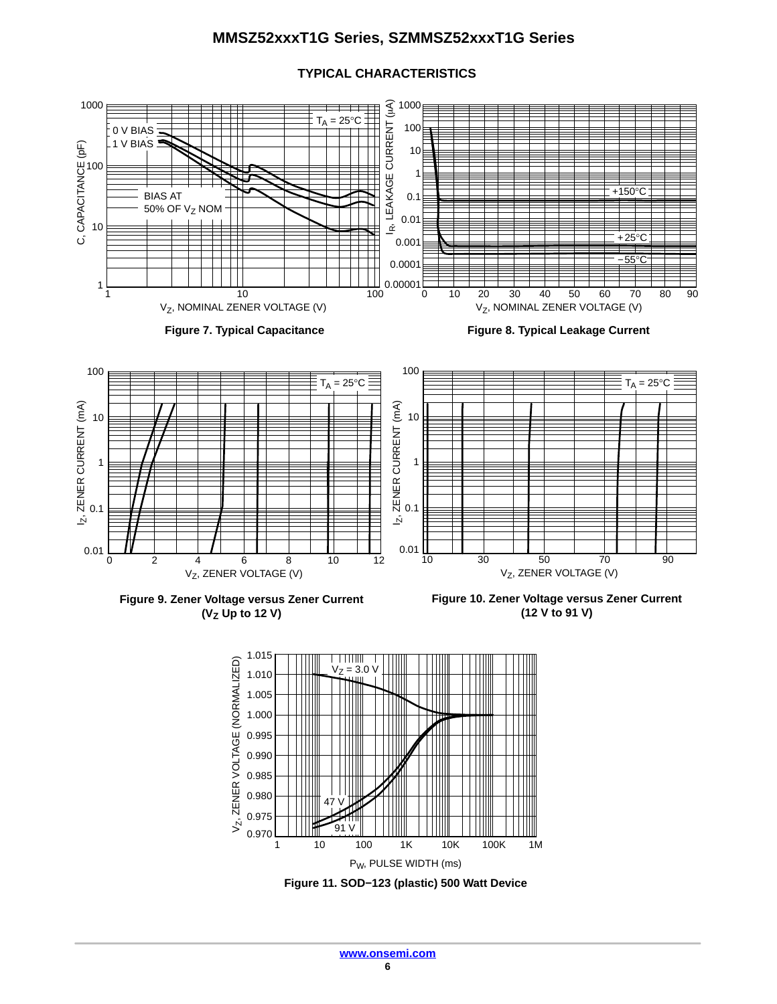

### **TYPICAL CHARACTERISTICS**

**Figure 9. Zener Voltage versus Zener Current (VZ Up to 12 V)**

**Figure 10. Zener Voltage versus Zener Current (12 V to 91 V)**



**Figure 11. SOD−123 (plastic) 500 Watt Device**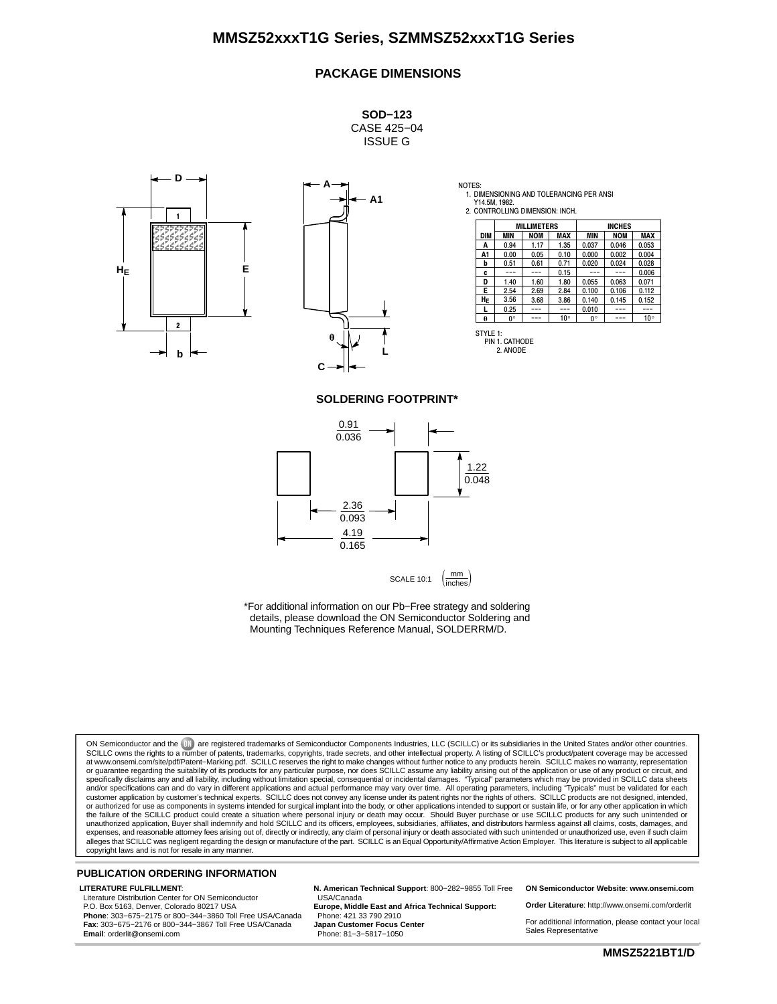#### **PACKAGE DIMENSIONS**

**SOD−123** CASE 425−04 ISSUE G





NOTES: 1. DIMENSIONING AND TOLERANCING PER ANSI Y14.5M, 1982.

2. CONTROLLING DIMENSION: INCH.

|            |      | <b>MILLIMETERS</b> |              | <b>INCHES</b> |            |              |
|------------|------|--------------------|--------------|---------------|------------|--------------|
| <b>DIM</b> | MIN  | <b>NOM</b>         | MAX          | <b>MIN</b>    | <b>NOM</b> | <b>MAX</b>   |
| A          | 0.94 | 1.17               | 1.35         | 0.037         | 0.046      | 0.053        |
| A1         | 0.00 | 0.05               | 0.10         | 0.000         | 0.002      | 0.004        |
| b          | 0.51 | 0.61               | 0.71         | 0.020         | 0.024      | 0.028        |
| C          |      |                    | 0.15         |               |            | 0.006        |
| D          | 1.40 | 1.60               | 1.80         | 0.055         | 0.063      | 0.071        |
| E          | 2.54 | 2.69               | 2.84         | 0.100         | 0.106      | 0.112        |
| HE         | 3.56 | 3.68               | 3.86         | 0.140         | 0.145      | 0.152        |
|            | 0.25 |                    |              | 0.010         |            |              |
| θ          | 0°   |                    | $10^{\circ}$ | 0°            |            | $10^{\circ}$ |

PIN 1. CATHODE 2. ANODE

#### **SOLDERING FOOTPRINT\***



\*For additional information on our Pb−Free strategy and soldering details, please download the ON Semiconductor Soldering and Mounting Techniques Reference Manual, SOLDERRM/D.

ON Semiconductor and the UN are registered trademarks of Semiconductor Components Industries, LLC (SCILLC) or its subsidiaries in the United States and/or other countries.<br>SCILLC owns the rights to a number of patents, tra at www.onsemi.com/site/pdf/Patent–Marking.pdf. SCILLC reserves the right to make changes without further notice to any products herein. SCILLC makes no warranty, representation<br>or guarantee regarding the suitability of its specifically disclaims any and all liability, including without limitation special, consequential or incidental damages. "Typical" parameters which may be provided in SCILLC data sheets<br>and/or specification can and do var or authorized for use as components in systems intended for surgical implant into the body, or other applications intended to support or sustain life, or for any other application in which the failure of the SCILLC product could create a situation where personal injury or death may occur. Should Buyer purchase or use SCILLC products for any such unintended or<br>unauthorized application, Buyer shall indemnify a expenses, and reasonable attorney fees arising out of, directly or indirectly, any claim of personal injury or death associated with such unintended or unauthorized use, even if such claim<br>alleges that SCILLC was negligent

#### **PUBLICATION ORDERING INFORMATION**

#### **LITERATURE FULFILLMENT**:

Literature Distribution Center for ON Semiconductor P.O. Box 5163, Denver, Colorado 80217 USA **Phone**: 303−675−2175 or 800−344−3860 Toll Free USA/Canada **Fax**: 303−675−2176 or 800−344−3867 Toll Free USA/Canada **Email**: orderlit@onsemi.com

**N. American Technical Support**: 800−282−9855 Toll Free USA/Canada **Europe, Middle East and Africa Technical Support:**

Phone: 421 33 790 2910 **Japan Customer Focus Center** Phone: 81−3−5817−1050

**ON Semiconductor Website**: **www.onsemi.com**

**Order Literature**: http://www.onsemi.com/orderlit

For additional information, please contact your local Sales Representative